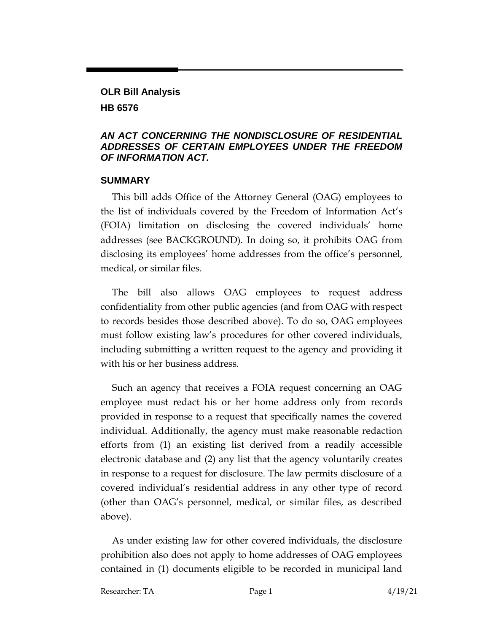### **OLR Bill Analysis HB 6576**

#### *AN ACT CONCERNING THE NONDISCLOSURE OF RESIDENTIAL ADDRESSES OF CERTAIN EMPLOYEES UNDER THE FREEDOM OF INFORMATION ACT.*

#### **SUMMARY**

This bill adds Office of the Attorney General (OAG) employees to the list of individuals covered by the Freedom of Information Act's (FOIA) limitation on disclosing the covered individuals' home addresses (see BACKGROUND). In doing so, it prohibits OAG from disclosing its employees' home addresses from the office's personnel, medical, or similar files.

The bill also allows OAG employees to request address confidentiality from other public agencies (and from OAG with respect to records besides those described above). To do so, OAG employees must follow existing law's procedures for other covered individuals, including submitting a written request to the agency and providing it with his or her business address.

Such an agency that receives a FOIA request concerning an OAG employee must redact his or her home address only from records provided in response to a request that specifically names the covered individual. Additionally, the agency must make reasonable redaction efforts from (1) an existing list derived from a readily accessible electronic database and (2) any list that the agency voluntarily creates in response to a request for disclosure. The law permits disclosure of a covered individual's residential address in any other type of record (other than OAG's personnel, medical, or similar files, as described above).

As under existing law for other covered individuals, the disclosure prohibition also does not apply to home addresses of OAG employees contained in (1) documents eligible to be recorded in municipal land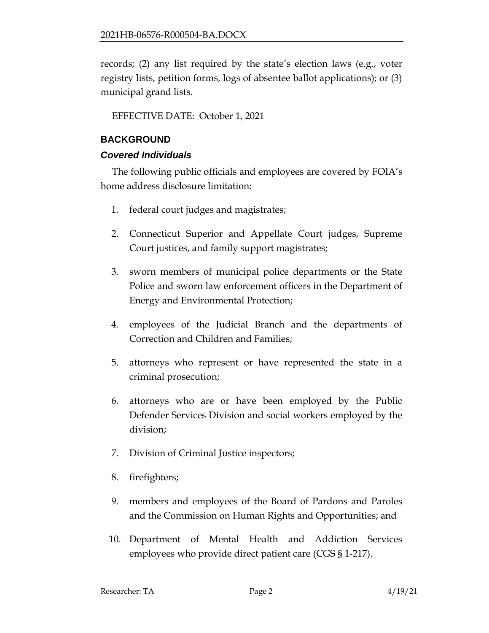records; (2) any list required by the state's election laws (e.g., voter registry lists, petition forms, logs of absentee ballot applications); or (3) municipal grand lists.

EFFECTIVE DATE: October 1, 2021

## **BACKGROUND**

## *Covered Individuals*

The following public officials and employees are covered by FOIA's home address disclosure limitation:

- 1. federal court judges and magistrates;
- 2. Connecticut Superior and Appellate Court judges, Supreme Court justices, and family support magistrates;
- 3. sworn members of municipal police departments or the State Police and sworn law enforcement officers in the Department of Energy and Environmental Protection;
- 4. employees of the Judicial Branch and the departments of Correction and Children and Families;
- 5. attorneys who represent or have represented the state in a criminal prosecution;
- 6. attorneys who are or have been employed by the Public Defender Services Division and social workers employed by the division;
- 7. Division of Criminal Justice inspectors;
- 8. firefighters;
- 9. members and employees of the Board of Pardons and Paroles and the Commission on Human Rights and Opportunities; and
- 10. Department of Mental Health and Addiction Services employees who provide direct patient care (CGS § 1-217).